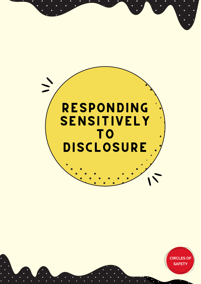

**CIRCLES OF SAFET**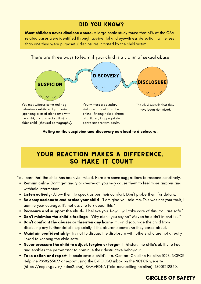### DID YOU KNOW?

Most children never disclose abuse. A large-scale study found that 61% of the CSArelated cases were identified through accidental and eyewitness detection, while less than one third were purposeful disclosures initiated by the child victim.

There are three ways to learn if your child is a victim of sexual abuse:

**SUSPICION DISCOVERY DISCLOSUR** You may witness some red flag You witness a boundary

behaviours exhibited by an adult (spending a lot of alone time with the child, giving special gifts) or an older child (showed pornography).

violation. It could also be online- finding naked photos of children, inappropriate conversations with adults.

The child reveals that they have been victimised.

Acting on the suspicion and discovery can lead to disclosure.

## YOUR REACTION MAKES A DIFFERENCE. SO MAKE IT COUNT

You learn that the child has been victimised. Here are some suggestions to respond sensitively:

- Remain calm- Don't get angry or overreact, you may cause them to feel more anxious and withhold information.
- Listen actively- Allow them to speak as per their comfort. Don't probe them for details.
- Be compassionate and praise your child- "I am glad you told me, This was not your fault, I admire your courage, it's not easy to talk about this."
- Reassure and support the child- "I believe you. Now, I will take care of this. You are safe."
- Don't minimise the child's feelings- "Why didn't you say no? Maybe he didn't intend to..."
- Don't confront the abuser or threaten any harm- It can discourage the child from disclosing any further details especially if the abuser is someone they cared about.
- Maintain confidentiality- Try not to discuss the disclosure with others who are not directly linked to keeping the child safe.
- . Never pressure the child to adjust, forgive or forget- It hinders the child's ability to heal, and enables the perpetrator to continue their destructive behaviour.
- **Take action and report-** It could save a child's life. Contact Childline Helpline 1098; NCPCR Helpline 9868235077 or report using the E-POCSO inbox on the NCPCR website [\(https://ncpcr.gov.in/index2.php\)](https://ncpcr.gov.in/index2.php); SAMVEDNA (Tele-counselling helpline)- 18001212830.

### CIRCLES OF SAFETY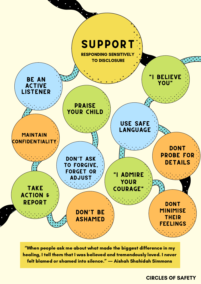

"When people ask me about what made the biggest difference in my healing, I tell them that I was believed and tremendously loved. I never felt blamed or shamed into silence." **―** Aishah Shahidah Simmons

#### CIRCLES OF SAFETY